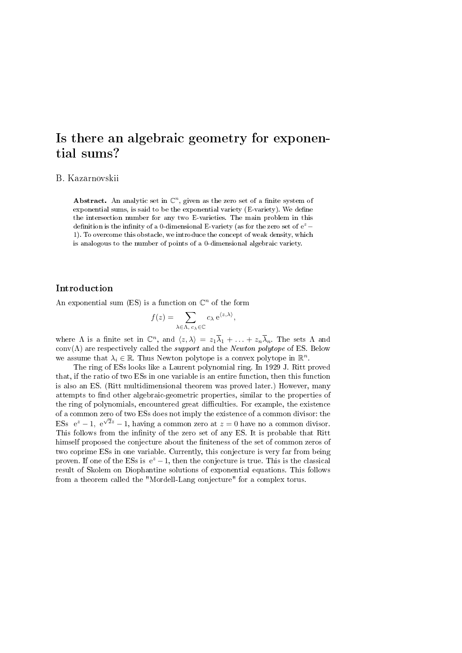# Is there an algebraic geometry for exponential sums?

### B. Kazarnovskii

Abstract. An analytic set in  $\mathbb{C}^n$ , given as the zero set of a finite system of exponential sums, is said to be the exponential variety (E-variety). We define the intersection number for any two E-varieties. The main problem in this definition is the infinity of a 0-dimensional E-variety (as for the zero set of  $e^z$  – 1). To overcome this obstacle, we introduce the concept of weak density, which is analogous to the number of points of a 0-dimensional algebraic variety.

### Introduction

An exponential sum (ES) is a function on  $\mathbb{C}^n$  of the form

$$
f(z) = \sum_{\lambda \in \Lambda, c_{\lambda} \in \mathbb{C}} c_{\lambda} e^{\langle z, \lambda \rangle},
$$

where  $\Lambda$  is a finite set in  $\mathbb{C}^n$ , and  $\langle z, \lambda \rangle = z_1 \overline{\lambda}_1 + \ldots + z_n \overline{\lambda}_n$ . The sets  $\Lambda$  and conv( $\Lambda$ ) are respectively called the *support* and the *Newton polytope* of ES. Below we assume that  $\lambda_i \in \mathbb{R}$ . Thus Newton polytope is a convex polytope in  $\mathbb{R}^n$ .

The ring of ESs looks like a Laurent polynomial ring. In 1929 J. Ritt proved that, if the ratio of two ESs in one variable is an entire function, then this function is also an ES. (Ritt multidimensional theorem was proved later.) However, many attempts to find other algebraic-geometric properties, similar to the properties of the ring of polynomials, encountered great difficulties. For example, the existence of a common zero of two ESs does not imply the existence of a common divisor: the ESs  $e^z - 1$ ,  $e^{\sqrt{2}z} - 1$ , having a common zero at  $z = 0$  have no a common divisor. This follows from the infinity of the zero set of any ES. It is probable that Ritt himself proposed the conjecture about the finiteness of the set of common zeros of two coprime ESs in one variable. Currently, this conjecture is very far from being proven. If one of the ESs is  $e^z - 1$ , then the conjecture is true. This is the classical result of Skolem on Diophantine solutions of exponential equations. This follows from a theorem called the "Mordell-Lang conjecture" for a complex torus.